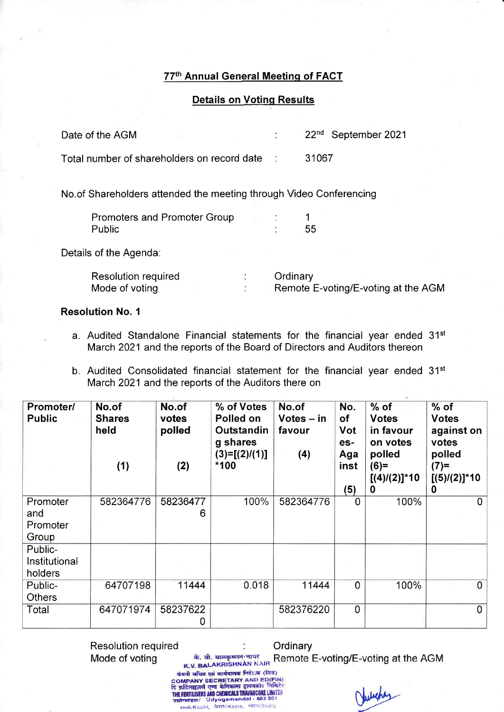## 77th Annual General Meetinq of FACT

## Details on Votinq Results

| Date of the AGM                               | 22 <sup>nd</sup> September 2021 |
|-----------------------------------------------|---------------------------------|
| Total number of shareholders on record date : | 31067                           |

No.of Shareholders attended the meeting through Video Conferencing

| Promoters and Promoter Group |  |    |
|------------------------------|--|----|
| Public                       |  | 55 |

Details of the Agenda:

| Resolution required | Ordinary                            |
|---------------------|-------------------------------------|
| Mode of voting      | Remote E-voting/E-voting at the AGM |

Resolution No. <sup>1</sup>

- a. Audited Standalone Financial statements for the financial year ended 31<sup>st</sup> March 2021 and the reports of the Board of Directors and Auditors thereon
- b. Audited Consolidated financial statement for the financial year ended 31<sup>st</sup> March 2021 and the reports of the Auditors there on

| Promoter/<br><b>Public</b>           | No.of<br><b>Shares</b><br>held<br>(1) | No.of<br>votes<br>polled<br>(2) | % of Votes<br>Polled on<br>Outstandin<br>g shares<br>$(3)=[(2)/(1)]$<br>$*100$ | No.of<br>$Votes - in$<br>favour<br>(4) | No.<br>оf<br>Vot<br>es-<br>Aga<br>inst<br>(5) | $%$ of<br><b>Votes</b><br>in favour<br>on votes<br>polled<br>$(6)=$<br>$[(4)/(2)]$ *10<br>$\mathbf 0$ | $%$ of<br><b>Votes</b><br>against on<br>votes<br>polled<br>$(7)=$<br>$[(5)/(2)]$ *10<br>0 |
|--------------------------------------|---------------------------------------|---------------------------------|--------------------------------------------------------------------------------|----------------------------------------|-----------------------------------------------|-------------------------------------------------------------------------------------------------------|-------------------------------------------------------------------------------------------|
| Promoter<br>and<br>Promoter<br>Group | 582364776                             | 58236477<br>6                   | 100%                                                                           | 582364776                              | 0                                             | 100%                                                                                                  | 0                                                                                         |
| Public-<br>Institutional<br>holders  |                                       |                                 |                                                                                |                                        |                                               |                                                                                                       |                                                                                           |
| Public-<br><b>Others</b>             | 64707198                              | 11444                           | 0.018                                                                          | 11444                                  | $\overline{0}$                                | 100%                                                                                                  | $\overline{0}$                                                                            |
| Total                                | 647071974                             | 58237622<br>0                   |                                                                                | 582376220                              | $\mathbf 0$                                   |                                                                                                       | $\overline{0}$                                                                            |

Resolution required is an allowing the Crdinary<br>Mode of voting in the AGM and an allowing at the AGM K.V. BALAKRISHNAN NAIR<br>कंपनी सचिव एवं कार्यपालक निदेशक (वित) ्बरना सायब एवं कावनात्मक र AND ED(FIN)<br>COMPANY SECRETARY AND ED(FIN)<br>दि फ़र्टिलाइज़र्स एण्ड केमिकल्स ट्रावनकोर लिमिटे Juliety THE FERTILISERS AND CHEMICALS TRAVANCORE LIMITED

कांच्यी/Kochi, केरल/Kesla, भारत/India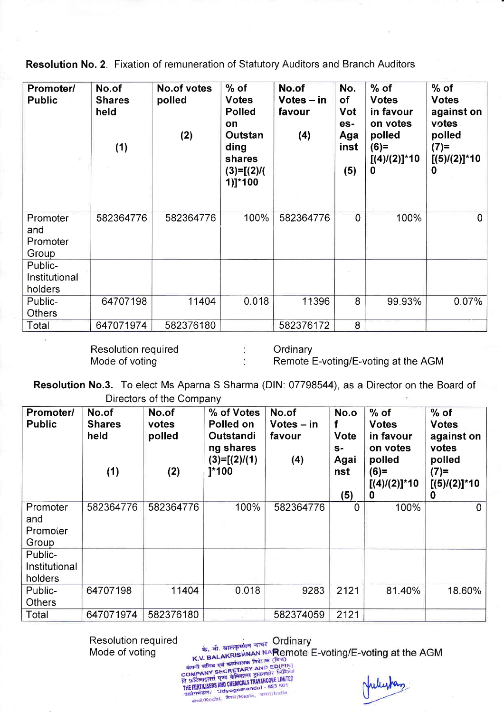Resolution No. 2. Fixation of remuneration of Statutory Auditors and Branch Auditors

| Promoter/<br><b>Public</b>           | No.of<br><b>Shares</b><br>held<br>(1) | <b>No.of votes</b><br>polled<br>(2) | $%$ of<br><b>Votes</b><br><b>Polled</b><br>on<br>Outstan<br>ding<br>shares<br>$(3)=[(2)$ /(<br>1)]*100 | No.of<br>$Votes - in$<br>favour<br>(4) | No.<br>of<br>Vot<br>es-<br>Aga<br>inst<br>(5) | $%$ of<br><b>Votes</b><br>in favour<br>on votes<br>polled<br>$(6)=$<br>$[(4)/(2)]$ *10<br>0 | $%$ of<br><b>Votes</b><br>against on<br>votes<br>polled<br>$(7)=$<br>$[(5)/(2)]$ *10<br>0 |
|--------------------------------------|---------------------------------------|-------------------------------------|--------------------------------------------------------------------------------------------------------|----------------------------------------|-----------------------------------------------|---------------------------------------------------------------------------------------------|-------------------------------------------------------------------------------------------|
| Promoter<br>and<br>Promoter<br>Group | 582364776                             | 582364776                           | 100%                                                                                                   | 582364776                              | $\overline{0}$                                | 100%                                                                                        | $\mathbf 0$                                                                               |
| Public-<br>Institutional<br>holders  |                                       |                                     |                                                                                                        |                                        |                                               |                                                                                             |                                                                                           |
| Public-<br><b>Others</b>             | 64707198                              | 11404                               | 0.018                                                                                                  | 11396                                  | 8                                             | 99.93%                                                                                      | 0.07%                                                                                     |
| Total                                | 647071974                             | 582376180                           |                                                                                                        | 582376172                              | 8                                             |                                                                                             |                                                                                           |

Resolution required Mode of voting

**Ordinary** 

Remote E-voting/E-voting at the AGM

Resolution No.3. To elect Ms Aparna S Sharma (DlN: 07798544), as a Director on the Board of Directors of the Company

| Promoter/<br><b>Public</b>           | No.of<br><b>Shares</b><br>held<br>(1) | No.of<br>votes<br>polled<br>(2) | % of Votes<br>Polled on<br>Outstandi<br>ng shares<br>$(3)=[(2)/(1)$<br>$]^{*}100$ | No.of<br>$Votes - in$<br>favour<br>(4) | No.o<br>Vote<br>$S-$<br>Agai<br>nst<br>(5) | $%$ of<br><b>Votes</b><br>in favour<br>on votes<br>polled<br>$(6)=$<br>$[(4)/(2)]$ *10<br>0 | $%$ of<br><b>Votes</b><br>against on<br>votes<br>polled<br>$(7)=$<br>$[(5)/(2)]$ *10<br>0 |
|--------------------------------------|---------------------------------------|---------------------------------|-----------------------------------------------------------------------------------|----------------------------------------|--------------------------------------------|---------------------------------------------------------------------------------------------|-------------------------------------------------------------------------------------------|
| Promoter<br>and<br>Promoter<br>Group | 582364776                             | 582364776                       | 100%                                                                              | 582364776                              | $\overline{0}$                             | 100%                                                                                        | $\Omega$                                                                                  |
| Public-<br>Institutional<br>holders  |                                       |                                 |                                                                                   |                                        |                                            |                                                                                             |                                                                                           |
| Public-<br><b>Others</b>             | 64707198                              | 11404                           | 0.018                                                                             | 9283                                   | 2121                                       | 81.40%                                                                                      | 18.60%                                                                                    |
| Total                                | 647071974                             | 582376180                       |                                                                                   | 582374059                              | 2121                                       |                                                                                             |                                                                                           |

Resolution required Mode of voting

के. बी. बालकृष्णन नायर Ordinary<br>के. बी. बालकृष्णन नायर NARemote I

के. बी. बालकुर्णन नायर Ordinary<br>K.V. BALAKRISHNAN NARemote E-voting/E-voting at the AGM

क. al. and PSINAN NARemove (बिन)<br>कंपनी सचिव एवं कार्यपालक निदेः क (बिन)<br>COMPANY SECRETARY AND ED(FIN)<br>COMPANY SECRETARY AND ED(FIN)<br>हि फ़र्टिलाइजिक्का और CHEMICALS TRAVANCORE LINITED<br>THE FERTILISERS AND CHEMICALS TRAVANCO **; FERTILISEns and World and al** - 583 50 m<br>ग्रेगमंडल/ 'Udyogamandal - 583 50 m<br><sub>आंध्यो/</sub>Kochi, केरल/Kesla, भारत/India

Julianas